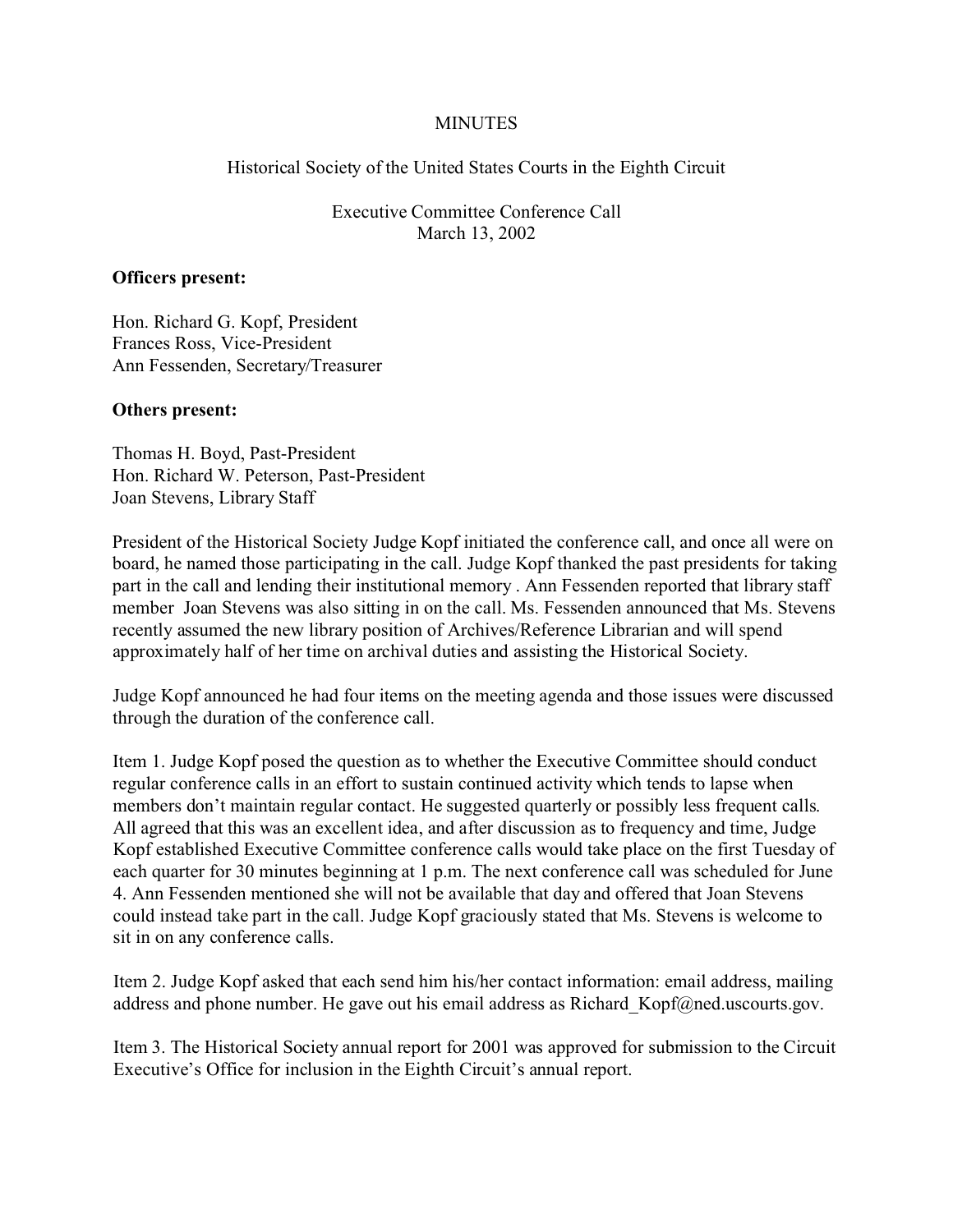## **MINUTES**

Historical Society of the United States Courts in the Eighth Circuit

Executive Committee Conference Call March 13, 2002

## **Officers present:**

Hon. Richard G. Kopf, President Frances Ross, Vice-President Ann Fessenden, Secretary/Treasurer

## **Others present:**

Thomas H. Boyd, Past-President Hon. Richard W. Peterson, Past-President Joan Stevens, Library Staff

President of the Historical Society Judge Kopf initiated the conference call, and once all were on board, he named those participating in the call. Judge Kopf thanked the past presidents for taking part in the call and lending their institutional memory . Ann Fessenden reported that library staff member Joan Stevens was also sitting in on the call. Ms. Fessenden announced that Ms. Stevens recently assumed the new library position of Archives/Reference Librarian and will spend approximately half of her time on archival duties and assisting the Historical Society.

Judge Kopf announced he had four items on the meeting agenda and those issues were discussed through the duration of the conference call.

Item 1. Judge Kopf posed the question as to whether the Executive Committee should conduct regular conference calls in an effort to sustain continued activity which tends to lapse when members don't maintain regular contact. He suggested quarterly or possibly less frequent calls. All agreed that this was an excellent idea, and after discussion as to frequency and time, Judge Kopf established Executive Committee conference calls would take place on the first Tuesday of each quarter for 30 minutes beginning at 1 p.m. The next conference call was scheduled for June 4. Ann Fessenden mentioned she will not be available that day and offered that Joan Stevens could instead take part in the call. Judge Kopf graciously stated that Ms. Stevens is welcome to sit in on any conference calls.

Item 2. Judge Kopf asked that each send him his/her contact information: email address, mailing address and phone number. He gave out his email address as Richard Kopf@ned.uscourts.gov.

Item 3. The Historical Society annual report for 2001 was approved for submission to the Circuit Executive's Office for inclusion in the Eighth Circuit's annual report.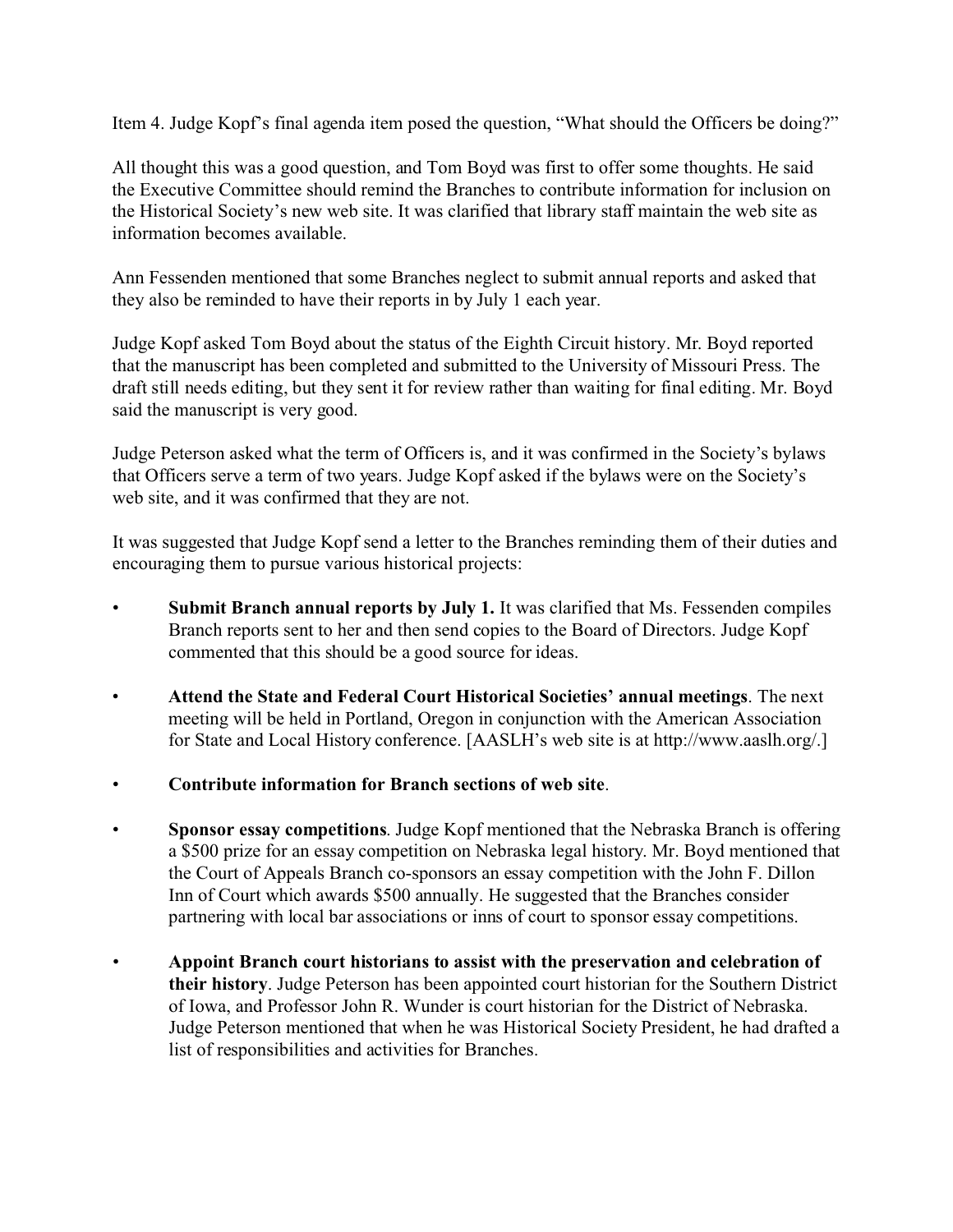Item 4. Judge Kopf's final agenda item posed the question, "What should the Officers be doing?"

All thought this was a good question, and Tom Boyd was first to offer some thoughts. He said the Executive Committee should remind the Branches to contribute information for inclusion on the Historical Society's new web site. It was clarified that library staff maintain the web site as information becomes available.

Ann Fessenden mentioned that some Branches neglect to submit annual reports and asked that they also be reminded to have their reports in by July 1 each year.

Judge Kopf asked Tom Boyd about the status of the Eighth Circuit history. Mr. Boyd reported that the manuscript has been completed and submitted to the University of Missouri Press. The draft still needs editing, but they sent it for review rather than waiting for final editing. Mr. Boyd said the manuscript is very good.

Judge Peterson asked what the term of Officers is, and it was confirmed in the Society's bylaws that Officers serve a term of two years. Judge Kopf asked if the bylaws were on the Society's web site, and it was confirmed that they are not.

It was suggested that Judge Kopf send a letter to the Branches reminding them of their duties and encouraging them to pursue various historical projects:

- Submit Branch annual reports by July 1. It was clarified that Ms. Fessenden compiles Branch reports sent to her and then send copies to the Board of Directors. Judge Kopf commented that this should be a good source for ideas.
- **Attend the State and Federal Court Historical Societies' annual meetings**. The next meeting will be held in Portland, Oregon in conjunction with the American Association for State and Local History conference. [AASLH's web site is at http://www.aaslh.org/.]
- **Contribute information for Branch sections of web site**.
- **Sponsor essay competitions**. Judge Kopf mentioned that the Nebraska Branch is offering a \$500 prize for an essay competition on Nebraska legal history. Mr. Boyd mentioned that the Court of Appeals Branch co-sponsors an essay competition with the John F. Dillon Inn of Court which awards \$500 annually. He suggested that the Branches consider partnering with local bar associations or inns of court to sponsor essay competitions.
- **Appoint Branch court historians to assist with the preservation and celebration of their history**. Judge Peterson has been appointed court historian for the Southern District of Iowa, and Professor John R. Wunder is court historian for the District of Nebraska. Judge Peterson mentioned that when he was Historical Society President, he had drafted a list of responsibilities and activities for Branches.